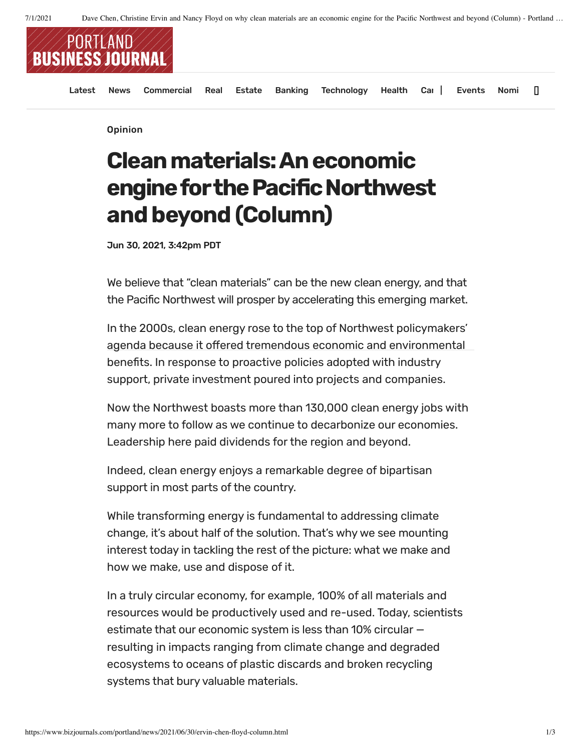

Opinion

## **Cleanmaterials:Aneconomic engine for the Pacific Northwest and beyond (Column)**

Jun 30, 2021, 3:42pm PDT

We believe that "clean materials" can be the new clean energy, and that the Pacific Northwest will prosper by accelerating this emerging market.

In the 2000s, clean energy rose to the top of Northwest policymakers' agenda because it offered tremendous economic and environmental benefits. In response to proactive policies adopted with industry support, private investment poured into projects and companies.

Now the Northwest boasts more than 130,000 clean energy jobs with many more to follow as we continue to decarbonize our economies. Leadership here paid dividends for the region and beyond.

Indeed, clean energy enjoys a remarkable degree of bipartisan support in most parts of the country.

While transforming energy is fundamental to addressing climate change, it's about half of the solution. That's why we see mounting interest today in tackling the rest of the picture: what we make and how we make, use and dispose of it.

In a truly circular economy, for example, 100% of all materials and resources would be productively used and re-used. Today, scientists estimate that our economic system is less than 10% circular resulting in impacts ranging from climate change and degraded ecosystems to oceans of plastic discards and broken recycling systems that bury valuable materials.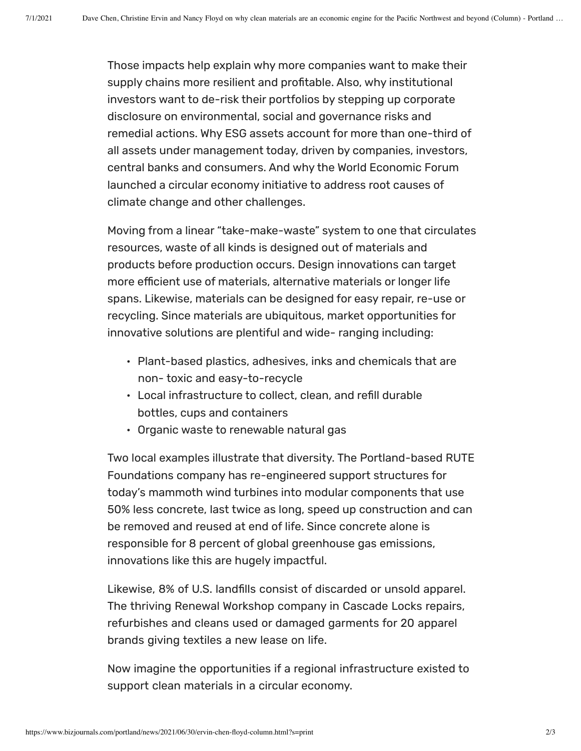Those impacts help explain why more companies want to make their supply chains more resilient and profitable. Also, why institutional investors want to de-risk their portfolios by stepping up corporate disclosure on environmental, social and governance risks and remedial actions. Why ESG assets account for more than one-third of all assets under management today, driven by companies, investors, central banks and consumers. And why the World Economic Forum launched a circular economy initiative to address root causes of climate change and other challenges.

Moving from a linear "take-make-waste" system to one that circulates resources, waste of all kinds is designed out of materials and products before production occurs. Design innovations can target more efficient use of materials, alternative materials or longer life spans. Likewise, materials can be designed for easy repair, re-use or recycling. Since materials are ubiquitous, market opportunities for innovative solutions are plentiful and wide- ranging including:

- Plant-based plastics, adhesives, inks and chemicals that are non- toxic and easy-to-recycle
- Local infrastructure to collect, clean, and refill durable bottles, cups and containers
- Organic waste to renewable natural gas

Two local examples illustrate that diversity. The Portland-based RUTE Foundations company has re-engineered support structures for today's mammoth wind turbines into modular components that use 50% less concrete, last twice as long, speed up construction and can be removed and reused at end of life. Since concrete alone is responsible for 8 percent of global greenhouse gas emissions, innovations like this are hugely impactful.

Likewise, 8% of U.S. landfills consist of discarded or unsold apparel. The thriving Renewal Workshop company in Cascade Locks repairs, refurbishes and cleans used or damaged garments for 20 apparel brands giving textiles a new lease on life.

Now imagine the opportunities if a regional infrastructure existed to support clean materials in a circular economy.